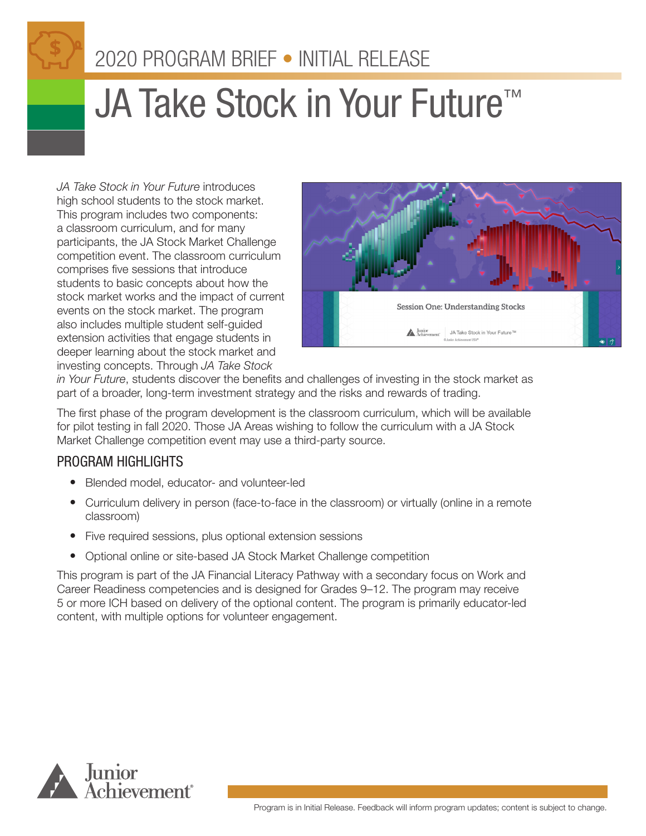# 2020 PROGRAM BRIEF • INITIAL RELEASE

# **JA Take Stock in Your Future™**

*JA Take Stock in Your Future* introduces high school students to the stock market. This program includes two components: a classroom curriculum, and for many participants, the JA Stock Market Challenge competition event. The classroom curriculum comprises five sessions that introduce students to basic concepts about how the stock market works and the impact of current events on the stock market. The program also includes multiple student self-guided extension activities that engage students in deeper learning about the stock market and investing concepts. Through *JA Take Stock* 



*in Your Future*, students discover the benefits and challenges of investing in the stock market as part of a broader, long-term investment strategy and the risks and rewards of trading.

The first phase of the program development is the classroom curriculum, which will be available for pilot testing in fall 2020. Those JA Areas wishing to follow the curriculum with a JA Stock Market Challenge competition event may use a third-party source.

## PROGRAM HIGHLIGHTS

- Blended model, educator- and volunteer-led
- Curriculum delivery in person (face-to-face in the classroom) or virtually (online in a remote classroom)
- Five required sessions, plus optional extension sessions
- Optional online or site-based JA Stock Market Challenge competition

This program is part of the JA Financial Literacy Pathway with a secondary focus on Work and Career Readiness competencies and is designed for Grades 9–12. The program may receive 5 or more ICH based on delivery of the optional content. The program is primarily educator-led content, with multiple options for volunteer engagement.